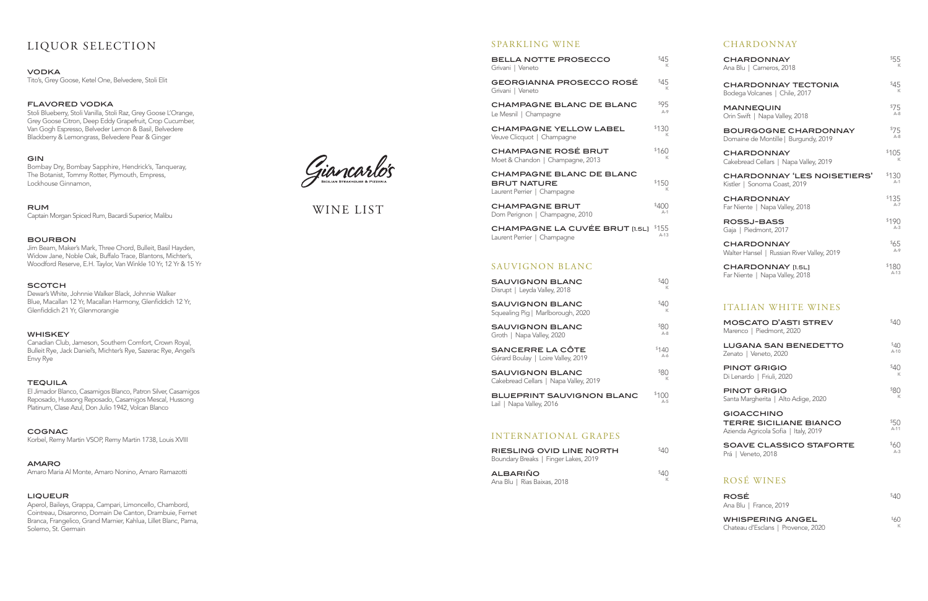## SPARKLING WINE

| <b>BELLA NOTTE PROSECCO</b>                                                          | \$45       |
|--------------------------------------------------------------------------------------|------------|
| Grivani   Veneto                                                                     | K          |
| <b>GEORGIANNA PROSECCO ROSÉ</b><br>Grivani   Veneto                                  | \$45       |
| CHAMPAGNE BLANC DE BLANC                                                             | \$95       |
| Le Mesnil   Champagne                                                                | $A-9$      |
| <b>CHAMPAGNE YELLOW LABEL</b>                                                        | \$130      |
| Veuve Clicquot   Champagne                                                           | ĸ          |
| <b>CHAMPAGNE ROSÉ BRUT</b><br>Moet & Chandon   Champagne, 2013                       | \$160      |
| <b>CHAMPAGNE BLANC DE BLANC</b><br><b>BRUT NATURE</b><br>Laurent Perrier   Champagne | \$150<br>ĸ |
| <b>CHAMPAGNE BRUT</b>                                                                | \$400      |
| Dom Perignon   Champagne, 2010                                                       | $A-1$      |
| CHAMPAGNE LA CUVÉE BRUT [1.5L]                                                       | \$155      |
| Laurent Perrier   Champagne                                                          | $A-13$     |

## SAUVIGNON BLANC

| <b>SAUVIGNON BLANC</b><br>Disrupt   Leyda Valley, 2018          | \$40    |
|-----------------------------------------------------------------|---------|
| <b>SAUVIGNON BLANC</b><br>Squealing Pig   Marlborough, 2020     | \$40    |
| <b>SAUVIGNON BLANC</b>                                          | \$80    |
| Groth   Napa Valley, 2020                                       | $A - 8$ |
| SANCERRE LA CÔTE                                                | \$140   |
| Gérard Boulay   Loire Valley, 2019                              | $A-6$   |
| <b>SAUVIGNON BLANC</b><br>Cakebread Cellars   Napa Valley, 2019 | \$80    |
| <b>BLUEPRINT SAUVIGNON BLANC</b>                                | \$100   |
| Lail   Napa Valley, 2016                                        | $A-5$   |

## INTERNATIONAL GRAPES

| <b>RIESLING OVID LINE NORTH</b><br>Boundary Breaks   Finger Lakes, 2019 | \$4∩ |
|-------------------------------------------------------------------------|------|
| <b>ALBARIÑO</b><br>Ana Blu   Rias Baixas, 2018                          | \$4∩ |

# LIQUOR SELECTION

#### **VODKA**

Tito's, Grey Goose, Ketel One, Belvedere, Stoli Elit

## flavored vodka

Stoli Blueberry, Stoli Vanilla, Stoli Raz, Grey Goose L'Orange, Grey Goose Citron, Deep Eddy Grapefruit, Crop Cucumber, Van Gogh Espresso, Belveder Lemon & Basil, Belvedere Blackberry & Lemongrass, Belvedere Pear & Ginger

## **GIN**

Bombay Dry, Bombay Sapphire, Hendrick's, Tanqueray, The Botanist, Tommy Rotter, Plymouth, Empress, Lockhouse Ginnamon,

## rum

Captain Morgan Spiced Rum, Bacardi Superior, Malibu

## bourbon

Jim Beam, Maker's Mark, Three Chord, Bulleit, Basil Hayden, Widow Jane, Noble Oak, Buffalo Trace, Blantons, Michter's, Woodford Reserve, E.H. Taylor, Van Winkle 10 Yr, 12 Yr & 15 Yr

#### **SCOTCH**

Dewar's White, Johnnie Walker Black, Johnnie Walker Blue, Macallan 12 Yr, Macallan Harmony, Glenfiddich 12 Yr, Glenfiddich 21 Yr, Glenmorangie

#### **WHISKEY**

Canadian Club, Jameson, Southern Comfort, Crown Royal, Bulleit Rye, Jack Daniel's, Michter's Rye, Sazerac Rye, Angel's Envy Rye

#### **TEQUILA**

El Jimador Blanco, Casamigos Blanco, Patron Silver, Casamigos Reposado, Hussong Reposado, Casamigos Mescal, Hussong Platinum, Clase Azul, Don Julio 1942, Volcan Blanco

cognac Korbel, Remy Martin VSOP, Remy Martin 1738, Louis XVIII

#### amaro

Amaro Maria Al Monte, Amaro Nonino, Amaro Ramazotti

#### **LIQUEUR**

Aperol, Baileys, Grappa, Campari, Limoncello, Chambord, Cointreau, Disaronno, Domain De Canton, Drambuie, Fernet Branca, Frangelico, Grand Marnier, Kahlua, Lillet Blanc, Pama, Solerno, St. Germain

Giancarlo's

| <b>CHARDONNAY</b>                          |         |
|--------------------------------------------|---------|
| <b>CHARDONNAY</b>                          | \$55    |
| Ana Blu   Carneros, 2018                   | К       |
| <b>CHARDONNAY TECTONIA</b>                 | \$45    |
| Bodega Volcanes   Chile, 2017              | К       |
| <b>MANNEQUIN</b>                           | \$75    |
| Orin Swift   Napa Valley, 2018             | $A-8$   |
| <b>BOURGOGNE CHARDONNAY</b>                | \$75    |
| Domaine de Montille   Burgundy, 2019       | $A-8$   |
| <b>CHARDONNAY</b>                          | \$105   |
| Cakebread Cellars   Napa Valley, 2019      | К       |
| <b>CHARDONNAY 'LES NOISETIERS'</b>         | \$130   |
| Kistler   Sonoma Coast, 2019               | $A-1$   |
| <b>CHARDONNAY</b>                          | \$135   |
| Far Niente   Napa Valley, 2018             | $A - 7$ |
| <b>ROSSJ-BASS</b>                          | \$190   |
| Gaja   Piedmont, 2017                      | $A-3$   |
| <b>CHARDONNAY</b>                          | \$65    |
| Walter Hansel   Russian River Valley, 2019 | $A-9$   |
| <b>CHARDONNAY [1.5L]</b>                   | \$180   |
| Far Niente   Napa Valley, 2018             | $A-13$  |

# ITALIAN WHITE WINES

| <b>MOSCATO D'ASTI STREV</b><br>Marenco   Piedmont, 2020                                    | \$40            |
|--------------------------------------------------------------------------------------------|-----------------|
| <b>LUGANA SAN BENEDETTO</b>                                                                | 40 <sup>5</sup> |
| Zenato   Veneto, 2020                                                                      | $A-10$          |
| <b>PINOT GRIGIO</b>                                                                        | \$40            |
| Di Lenardo   Friuli, 2020                                                                  | $\mathbb{K}$    |
| <b>PINOT GRIGIO</b>                                                                        | \$80            |
| Santa Margherita   Alto Adige, 2020                                                        | К               |
| <b>GIOACCHINO</b><br><b>TERRE SICILIANE BIANCO</b><br>Azienda Agricola Sofia   Italy, 2019 | \$50<br>$A-11$  |
| <b>SOAVE CLASSICO STAFORTE</b>                                                             | \$60            |
| D. J. J. J. L. DO10                                                                        | $A-3$           |

# Prá | Veneto, 2018

ROSÉ WINES

| ROSÉ                   | $40^{\circ}$ |
|------------------------|--------------|
| Ana Blu   France, 2019 |              |

| <b>WHISPERING ANGEL</b>            | <sup>\$60</sup> |
|------------------------------------|-----------------|
| Chateau d'Esclans   Provence, 2020 |                 |

# WINE LIST